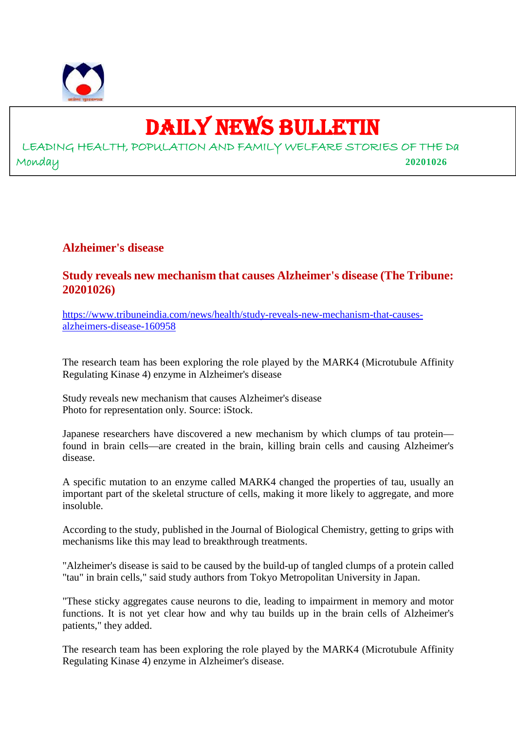

## DAILY NEWS BULLETIN

LEADING HEALTH, POPULATION AND FAMILY WELFARE STORIES OF THE Da Monday **20201026**

**Alzheimer's disease**

#### **Study reveals new mechanism that causes Alzheimer's disease (The Tribune: 20201026)**

https://www.tribuneindia.com/news/health/study-reveals-new-mechanism-that-causesalzheimers-disease-160958

The research team has been exploring the role played by the MARK4 (Microtubule Affinity Regulating Kinase 4) enzyme in Alzheimer's disease

Study reveals new mechanism that causes Alzheimer's disease Photo for representation only. Source: iStock.

Japanese researchers have discovered a new mechanism by which clumps of tau protein found in brain cells—are created in the brain, killing brain cells and causing Alzheimer's disease.

A specific mutation to an enzyme called MARK4 changed the properties of tau, usually an important part of the skeletal structure of cells, making it more likely to aggregate, and more insoluble.

According to the study, published in the Journal of Biological Chemistry, getting to grips with mechanisms like this may lead to breakthrough treatments.

"Alzheimer's disease is said to be caused by the build-up of tangled clumps of a protein called "tau" in brain cells," said study authors from Tokyo Metropolitan University in Japan.

"These sticky aggregates cause neurons to die, leading to impairment in memory and motor functions. It is not yet clear how and why tau builds up in the brain cells of Alzheimer's patients," they added.

The research team has been exploring the role played by the MARK4 (Microtubule Affinity Regulating Kinase 4) enzyme in Alzheimer's disease.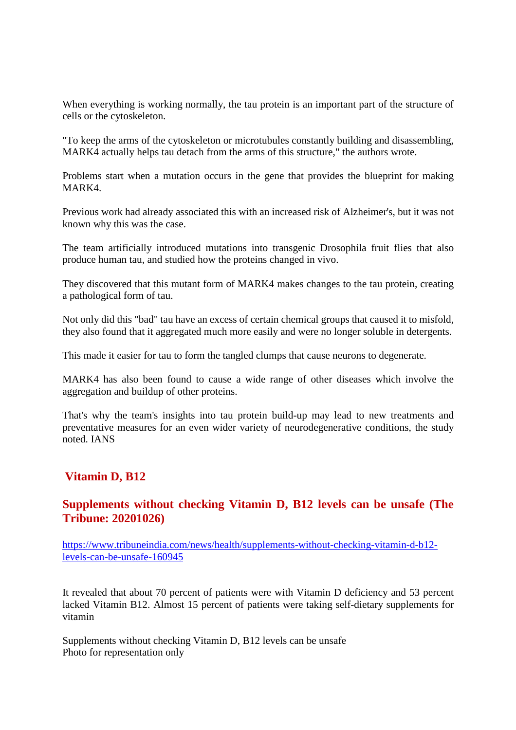When everything is working normally, the tau protein is an important part of the structure of cells or the cytoskeleton.

"To keep the arms of the cytoskeleton or microtubules constantly building and disassembling, MARK4 actually helps tau detach from the arms of this structure," the authors wrote.

Problems start when a mutation occurs in the gene that provides the blueprint for making MARK4.

Previous work had already associated this with an increased risk of Alzheimer's, but it was not known why this was the case.

The team artificially introduced mutations into transgenic Drosophila fruit flies that also produce human tau, and studied how the proteins changed in vivo.

They discovered that this mutant form of MARK4 makes changes to the tau protein, creating a pathological form of tau.

Not only did this "bad" tau have an excess of certain chemical groups that caused it to misfold, they also found that it aggregated much more easily and were no longer soluble in detergents.

This made it easier for tau to form the tangled clumps that cause neurons to degenerate.

MARK4 has also been found to cause a wide range of other diseases which involve the aggregation and buildup of other proteins.

That's why the team's insights into tau protein build-up may lead to new treatments and preventative measures for an even wider variety of neurodegenerative conditions, the study noted. IANS

#### **Vitamin D, B12**

#### **Supplements without checking Vitamin D, B12 levels can be unsafe (The Tribune: 20201026)**

https://www.tribuneindia.com/news/health/supplements-without-checking-vitamin-d-b12 levels-can-be-unsafe-160945

It revealed that about 70 percent of patients were with Vitamin D deficiency and 53 percent lacked Vitamin B12. Almost 15 percent of patients were taking self-dietary supplements for vitamin

Supplements without checking Vitamin D, B12 levels can be unsafe Photo for representation only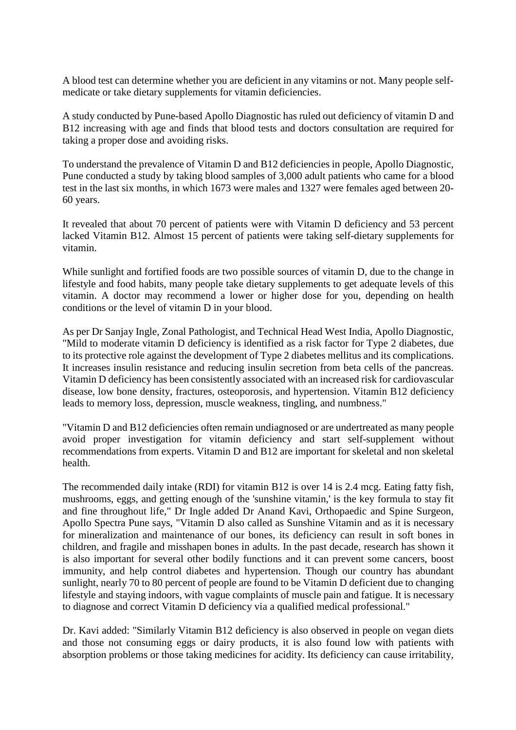A blood test can determine whether you are deficient in any vitamins or not. Many people selfmedicate or take dietary supplements for vitamin deficiencies.

A study conducted by Pune-based Apollo Diagnostic has ruled out deficiency of vitamin D and B12 increasing with age and finds that blood tests and doctors consultation are required for taking a proper dose and avoiding risks.

To understand the prevalence of Vitamin D and B12 deficiencies in people, Apollo Diagnostic, Pune conducted a study by taking blood samples of 3,000 adult patients who came for a blood test in the last six months, in which 1673 were males and 1327 were females aged between 20- 60 years.

It revealed that about 70 percent of patients were with Vitamin D deficiency and 53 percent lacked Vitamin B12. Almost 15 percent of patients were taking self-dietary supplements for vitamin.

While sunlight and fortified foods are two possible sources of vitamin D, due to the change in lifestyle and food habits, many people take dietary supplements to get adequate levels of this vitamin. A doctor may recommend a lower or higher dose for you, depending on health conditions or the level of vitamin D in your blood.

As per Dr Sanjay Ingle, Zonal Pathologist, and Technical Head West India, Apollo Diagnostic, "Mild to moderate vitamin D deficiency is identified as a risk factor for Type 2 diabetes, due to its protective role against the development of Type 2 diabetes mellitus and its complications. It increases insulin resistance and reducing insulin secretion from beta cells of the pancreas. Vitamin D deficiency has been consistently associated with an increased risk for cardiovascular disease, low bone density, fractures, osteoporosis, and hypertension. Vitamin B12 deficiency leads to memory loss, depression, muscle weakness, tingling, and numbness."

"Vitamin D and B12 deficiencies often remain undiagnosed or are undertreated as many people avoid proper investigation for vitamin deficiency and start self-supplement without recommendations from experts. Vitamin D and B12 are important for skeletal and non skeletal health.

The recommended daily intake (RDI) for vitamin B12 is over 14 is 2.4 mcg. Eating fatty fish, mushrooms, eggs, and getting enough of the 'sunshine vitamin,' is the key formula to stay fit and fine throughout life," Dr Ingle added Dr Anand Kavi, Orthopaedic and Spine Surgeon, Apollo Spectra Pune says, "Vitamin D also called as Sunshine Vitamin and as it is necessary for mineralization and maintenance of our bones, its deficiency can result in soft bones in children, and fragile and misshapen bones in adults. In the past decade, research has shown it is also important for several other bodily functions and it can prevent some cancers, boost immunity, and help control diabetes and hypertension. Though our country has abundant sunlight, nearly 70 to 80 percent of people are found to be Vitamin D deficient due to changing lifestyle and staying indoors, with vague complaints of muscle pain and fatigue. It is necessary to diagnose and correct Vitamin D deficiency via a qualified medical professional."

Dr. Kavi added: "Similarly Vitamin B12 deficiency is also observed in people on vegan diets and those not consuming eggs or dairy products, it is also found low with patients with absorption problems or those taking medicines for acidity. Its deficiency can cause irritability,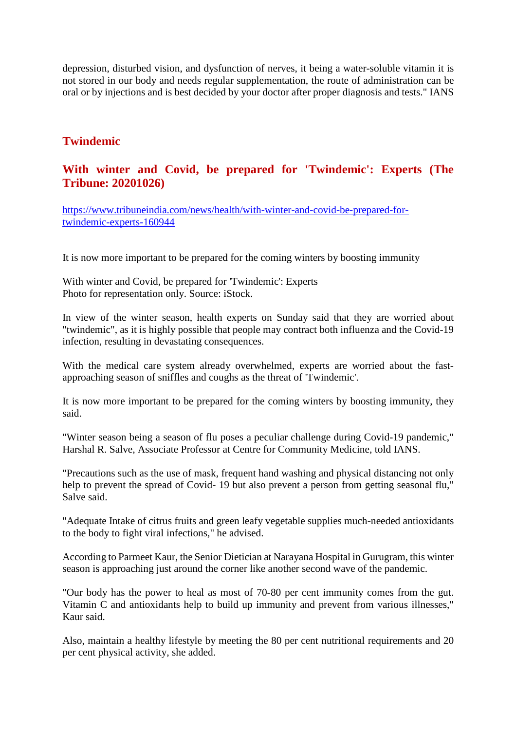depression, disturbed vision, and dysfunction of nerves, it being a water-soluble vitamin it is not stored in our body and needs regular supplementation, the route of administration can be oral or by injections and is best decided by your doctor after proper diagnosis and tests." IANS

#### **Twindemic**

#### **With winter and Covid, be prepared for 'Twindemic': Experts (The Tribune: 20201026)**

https://www.tribuneindia.com/news/health/with-winter-and-covid-be-prepared-fortwindemic-experts-160944

It is now more important to be prepared for the coming winters by boosting immunity

With winter and Covid, be prepared for 'Twindemic': Experts Photo for representation only. Source: iStock.

In view of the winter season, health experts on Sunday said that they are worried about "twindemic", as it is highly possible that people may contract both influenza and the Covid-19 infection, resulting in devastating consequences.

With the medical care system already overwhelmed, experts are worried about the fastapproaching season of sniffles and coughs as the threat of 'Twindemic'.

It is now more important to be prepared for the coming winters by boosting immunity, they said.

"Winter season being a season of flu poses a peculiar challenge during Covid-19 pandemic," Harshal R. Salve, Associate Professor at Centre for Community Medicine, told IANS.

"Precautions such as the use of mask, frequent hand washing and physical distancing not only help to prevent the spread of Covid- 19 but also prevent a person from getting seasonal flu," Salve said.

"Adequate Intake of citrus fruits and green leafy vegetable supplies much-needed antioxidants to the body to fight viral infections," he advised.

According to Parmeet Kaur, the Senior Dietician at Narayana Hospital in Gurugram, this winter season is approaching just around the corner like another second wave of the pandemic.

"Our body has the power to heal as most of 70-80 per cent immunity comes from the gut. Vitamin C and antioxidants help to build up immunity and prevent from various illnesses," Kaur said.

Also, maintain a healthy lifestyle by meeting the 80 per cent nutritional requirements and 20 per cent physical activity, she added.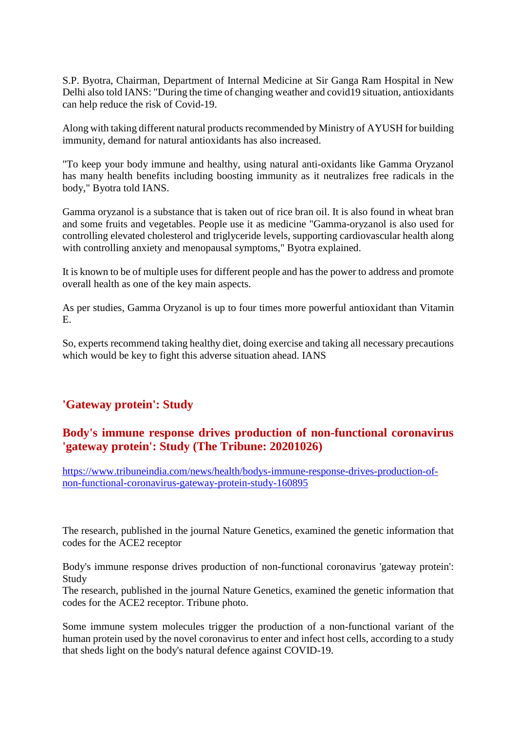S.P. Byotra, Chairman, Department of Internal Medicine at Sir Ganga Ram Hospital in New Delhi also told IANS: "During the time of changing weather and covid19 situation, antioxidants can help reduce the risk of Covid-19.

Along with taking different natural products recommended by Ministry of AYUSH for building immunity, demand for natural antioxidants has also increased.

"To keep your body immune and healthy, using natural anti-oxidants like Gamma Oryzanol has many health benefits including boosting immunity as it neutralizes free radicals in the body," Byotra told IANS.

Gamma oryzanol is a substance that is taken out of rice bran oil. It is also found in wheat bran and some fruits and vegetables. People use it as medicine "Gamma-oryzanol is also used for controlling elevated cholesterol and triglyceride levels, supporting cardiovascular health along with controlling anxiety and menopausal symptoms," Byotra explained.

It is known to be of multiple uses for different people and has the power to address and promote overall health as one of the key main aspects.

As per studies, Gamma Oryzanol is up to four times more powerful antioxidant than Vitamin E.

So, experts recommend taking healthy diet, doing exercise and taking all necessary precautions which would be key to fight this adverse situation ahead. IANS

#### **'Gateway protein': Study**

#### **Body's immune response drives production of non-functional coronavirus 'gateway protein': Study (The Tribune: 20201026)**

https://www.tribuneindia.com/news/health/bodys-immune-response-drives-production-ofnon-functional-coronavirus-gateway-protein-study-160895

The research, published in the journal Nature Genetics, examined the genetic information that codes for the ACE2 receptor

Body's immune response drives production of non-functional coronavirus 'gateway protein': Study

The research, published in the journal Nature Genetics, examined the genetic information that codes for the ACE2 receptor. Tribune photo.

Some immune system molecules trigger the production of a non-functional variant of the human protein used by the novel coronavirus to enter and infect host cells, according to a study that sheds light on the body's natural defence against COVID-19.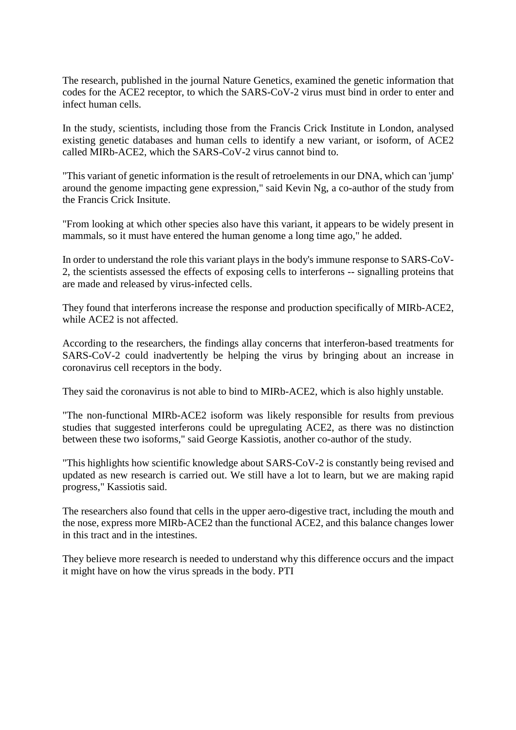The research, published in the journal Nature Genetics, examined the genetic information that codes for the ACE2 receptor, to which the SARS-CoV-2 virus must bind in order to enter and infect human cells.

In the study, scientists, including those from the Francis Crick Institute in London, analysed existing genetic databases and human cells to identify a new variant, or isoform, of ACE2 called MIRb-ACE2, which the SARS-CoV-2 virus cannot bind to.

"This variant of genetic information is the result of retroelements in our DNA, which can 'jump' around the genome impacting gene expression," said Kevin Ng, a co-author of the study from the Francis Crick Insitute.

"From looking at which other species also have this variant, it appears to be widely present in mammals, so it must have entered the human genome a long time ago," he added.

In order to understand the role this variant plays in the body's immune response to SARS-CoV-2, the scientists assessed the effects of exposing cells to interferons -- signalling proteins that are made and released by virus-infected cells.

They found that interferons increase the response and production specifically of MIRb-ACE2, while ACE2 is not affected.

According to the researchers, the findings allay concerns that interferon-based treatments for SARS-CoV-2 could inadvertently be helping the virus by bringing about an increase in coronavirus cell receptors in the body.

They said the coronavirus is not able to bind to MIRb-ACE2, which is also highly unstable.

"The non-functional MIRb-ACE2 isoform was likely responsible for results from previous studies that suggested interferons could be upregulating ACE2, as there was no distinction between these two isoforms," said George Kassiotis, another co-author of the study.

"This highlights how scientific knowledge about SARS-CoV-2 is constantly being revised and updated as new research is carried out. We still have a lot to learn, but we are making rapid progress," Kassiotis said.

The researchers also found that cells in the upper aero-digestive tract, including the mouth and the nose, express more MIRb-ACE2 than the functional ACE2, and this balance changes lower in this tract and in the intestines.

They believe more research is needed to understand why this difference occurs and the impact it might have on how the virus spreads in the body. PTI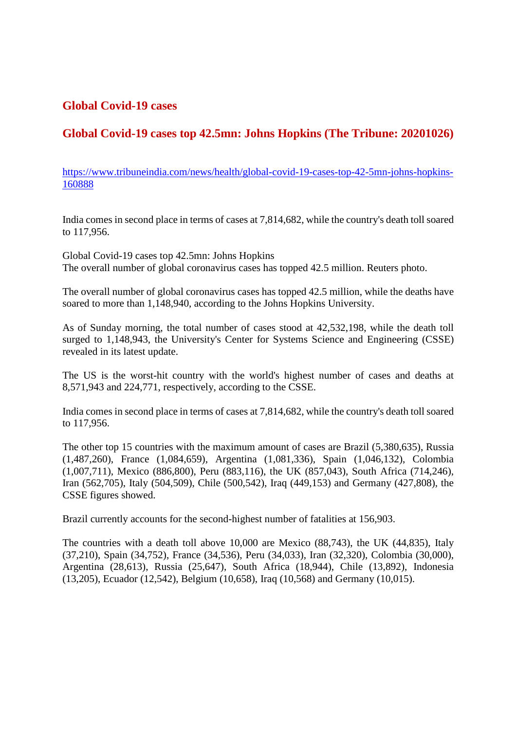#### **Global Covid-19 cases**

#### **Global Covid-19 cases top 42.5mn: Johns Hopkins (The Tribune: 20201026)**

https://www.tribuneindia.com/news/health/global-covid-19-cases-top-42-5mn-johns-hopkins-160888

India comes in second place in terms of cases at 7,814,682, while the country's death toll soared to 117,956.

Global Covid-19 cases top 42.5mn: Johns Hopkins The overall number of global coronavirus cases has topped 42.5 million. Reuters photo.

The overall number of global coronavirus cases has topped 42.5 million, while the deaths have soared to more than 1,148,940, according to the Johns Hopkins University.

As of Sunday morning, the total number of cases stood at 42,532,198, while the death toll surged to 1,148,943, the University's Center for Systems Science and Engineering (CSSE) revealed in its latest update.

The US is the worst-hit country with the world's highest number of cases and deaths at 8,571,943 and 224,771, respectively, according to the CSSE.

India comes in second place in terms of cases at 7,814,682, while the country's death toll soared to 117,956.

The other top 15 countries with the maximum amount of cases are Brazil (5,380,635), Russia (1,487,260), France (1,084,659), Argentina (1,081,336), Spain (1,046,132), Colombia (1,007,711), Mexico (886,800), Peru (883,116), the UK (857,043), South Africa (714,246), Iran (562,705), Italy (504,509), Chile (500,542), Iraq (449,153) and Germany (427,808), the CSSE figures showed.

Brazil currently accounts for the second-highest number of fatalities at 156,903.

The countries with a death toll above 10,000 are Mexico (88,743), the UK (44,835), Italy (37,210), Spain (34,752), France (34,536), Peru (34,033), Iran (32,320), Colombia (30,000), Argentina (28,613), Russia (25,647), South Africa (18,944), Chile (13,892), Indonesia (13,205), Ecuador (12,542), Belgium (10,658), Iraq (10,568) and Germany (10,015).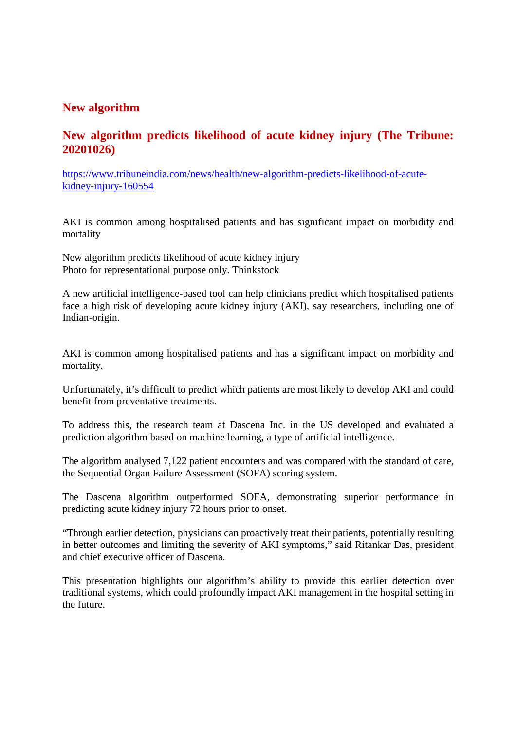#### **New algorithm**

#### **New algorithm predicts likelihood of acute kidney injury (The Tribune: 20201026)**

https://www.tribuneindia.com/news/health/new-algorithm-predicts-likelihood-of-acutekidney-injury-160554

AKI is common among hospitalised patients and has significant impact on morbidity and mortality

New algorithm predicts likelihood of acute kidney injury Photo for representational purpose only. Thinkstock

A new artificial intelligence-based tool can help clinicians predict which hospitalised patients face a high risk of developing acute kidney injury (AKI), say researchers, including one of Indian-origin.

AKI is common among hospitalised patients and has a significant impact on morbidity and mortality.

Unfortunately, it's difficult to predict which patients are most likely to develop AKI and could benefit from preventative treatments.

To address this, the research team at Dascena Inc. in the US developed and evaluated a prediction algorithm based on machine learning, a type of artificial intelligence.

The algorithm analysed 7,122 patient encounters and was compared with the standard of care, the Sequential Organ Failure Assessment (SOFA) scoring system.

The Dascena algorithm outperformed SOFA, demonstrating superior performance in predicting acute kidney injury 72 hours prior to onset.

"Through earlier detection, physicians can proactively treat their patients, potentially resulting in better outcomes and limiting the severity of AKI symptoms," said Ritankar Das, president and chief executive officer of Dascena.

This presentation highlights our algorithm's ability to provide this earlier detection over traditional systems, which could profoundly impact AKI management in the hospital setting in the future.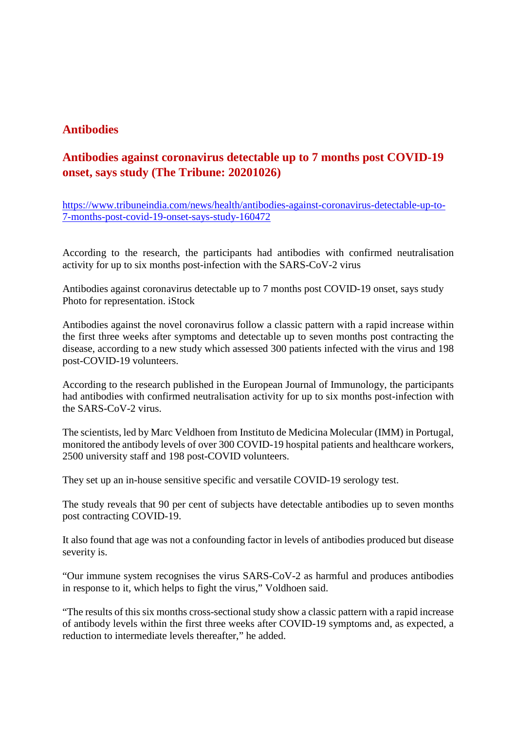#### **Antibodies**

#### **Antibodies against coronavirus detectable up to 7 months post COVID-19 onset, says study (The Tribune: 20201026)**

https://www.tribuneindia.com/news/health/antibodies-against-coronavirus-detectable-up-to-7-months-post-covid-19-onset-says-study-160472

According to the research, the participants had antibodies with confirmed neutralisation activity for up to six months post-infection with the SARS-CoV-2 virus

Antibodies against coronavirus detectable up to 7 months post COVID-19 onset, says study Photo for representation. iStock

Antibodies against the novel coronavirus follow a classic pattern with a rapid increase within the first three weeks after symptoms and detectable up to seven months post contracting the disease, according to a new study which assessed 300 patients infected with the virus and 198 post-COVID-19 volunteers.

According to the research published in the European Journal of Immunology, the participants had antibodies with confirmed neutralisation activity for up to six months post-infection with the SARS-CoV-2 virus.

The scientists, led by Marc Veldhoen from Instituto de Medicina Molecular (IMM) in Portugal, monitored the antibody levels of over 300 COVID-19 hospital patients and healthcare workers, 2500 university staff and 198 post-COVID volunteers.

They set up an in-house sensitive specific and versatile COVID-19 serology test.

The study reveals that 90 per cent of subjects have detectable antibodies up to seven months post contracting COVID-19.

It also found that age was not a confounding factor in levels of antibodies produced but disease severity is.

"Our immune system recognises the virus SARS-CoV-2 as harmful and produces antibodies in response to it, which helps to fight the virus," Voldhoen said.

"The results of this six months cross-sectional study show a classic pattern with a rapid increase of antibody levels within the first three weeks after COVID-19 symptoms and, as expected, a reduction to intermediate levels thereafter," he added.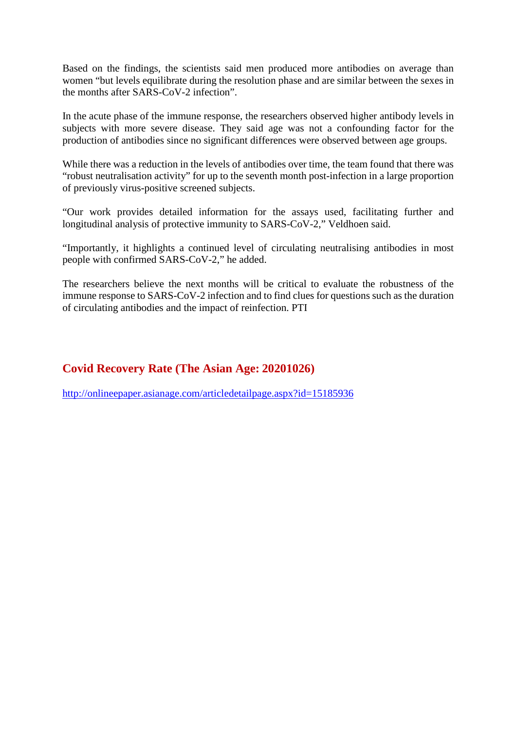Based on the findings, the scientists said men produced more antibodies on average than women "but levels equilibrate during the resolution phase and are similar between the sexes in the months after SARS-CoV-2 infection".

In the acute phase of the immune response, the researchers observed higher antibody levels in subjects with more severe disease. They said age was not a confounding factor for the production of antibodies since no significant differences were observed between age groups.

While there was a reduction in the levels of antibodies over time, the team found that there was "robust neutralisation activity" for up to the seventh month post-infection in a large proportion of previously virus-positive screened subjects.

"Our work provides detailed information for the assays used, facilitating further and longitudinal analysis of protective immunity to SARS-CoV-2," Veldhoen said.

"Importantly, it highlights a continued level of circulating neutralising antibodies in most people with confirmed SARS-CoV-2," he added.

The researchers believe the next months will be critical to evaluate the robustness of the immune response to SARS-CoV-2 infection and to find clues for questions such as the duration of circulating antibodies and the impact of reinfection. PTI

#### **Covid Recovery Rate (The Asian Age: 20201026)**

http://onlineepaper.asianage.com/articledetailpage.aspx?id=15185936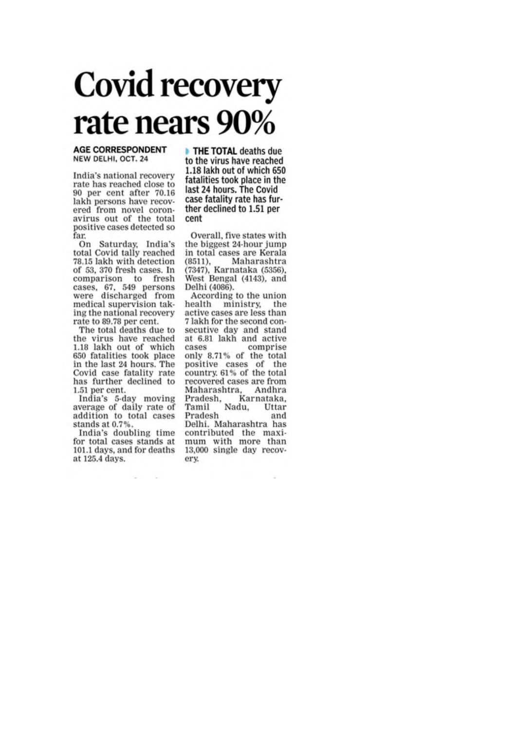# **Covid recovery** rate nears 90%

#### **AGE CORRESPONDENT** NEW DELHI, OCT. 24

India's national recovery rate has reached close to 90 per cent after 70.16 lakh persons have recovered from novel coronavirus out of the total positive cases detected so far

On Saturday, India's<br>total Covid tally reached 78.15 lakh with detection of 53, 370 fresh cases. In comparison to fresh cases, 67, 549 persons<br>were discharged from medical supervision taking the national recovery rate to 89.78 per cent.

The total deaths due to the virus have reached 1.18 lakh out of which 650 fatalities took place<br>in the last 24 hours. The Covid case fatality rate has further declined to 1.51 per cent.

India's 5-day moving average of daily rate of addition to total cases stands at 0.7%.

India's doubling time for total cases stands at 101.1 days, and for deaths at 125.4 days.

THE TOTAL deaths due to the virus have reached 1.18 lakh out of which 650 fatalities took place in the last 24 hours. The Covid case fatality rate has further declined to 1.51 per cent

Overall, five states with the biggest 24-hour jump in total cases are Kerala (8511), Maharashtra<br>(7347), Karnataka (5356), West Bengal (4143), and Delhi (4086).

According to the union health ministry, the active cases are less than 7 lakh for the second consecutive day and stand at 6.81 lakh and active cases comprise<br>only 8.71% of the total positive cases of the<br>country 61% of the total recovered cases are from Maharashtra, Andhra Pradesh, Karnataka,<br>Tamil Nadu, Uttar Pradesh and Delhi. Maharashtra has contributed the maximum with more than 13,000 single day recoverv.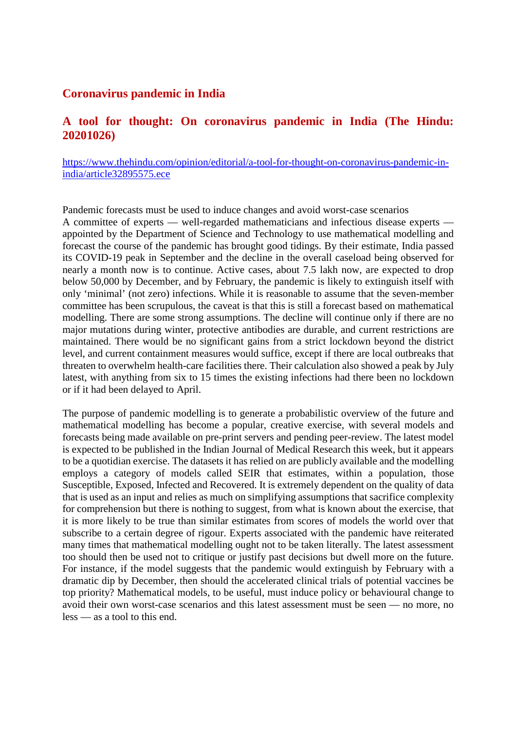#### **Coronavirus pandemic in India**

#### **A tool for thought: On coronavirus pandemic in India (The Hindu: 20201026)**

https://www.thehindu.com/opinion/editorial/a-tool-for-thought-on-coronavirus-pandemic-inindia/article32895575.ece

Pandemic forecasts must be used to induce changes and avoid worst-case scenarios A committee of experts — well-regarded mathematicians and infectious disease experts appointed by the Department of Science and Technology to use mathematical modelling and forecast the course of the pandemic has brought good tidings. By their estimate, India passed its COVID-19 peak in September and the decline in the overall caseload being observed for nearly a month now is to continue. Active cases, about 7.5 lakh now, are expected to drop below 50,000 by December, and by February, the pandemic is likely to extinguish itself with only 'minimal' (not zero) infections. While it is reasonable to assume that the seven-member committee has been scrupulous, the caveat is that this is still a forecast based on mathematical modelling. There are some strong assumptions. The decline will continue only if there are no major mutations during winter, protective antibodies are durable, and current restrictions are maintained. There would be no significant gains from a strict lockdown beyond the district level, and current containment measures would suffice, except if there are local outbreaks that threaten to overwhelm health-care facilities there. Their calculation also showed a peak by July latest, with anything from six to 15 times the existing infections had there been no lockdown or if it had been delayed to April.

The purpose of pandemic modelling is to generate a probabilistic overview of the future and mathematical modelling has become a popular, creative exercise, with several models and forecasts being made available on pre-print servers and pending peer-review. The latest model is expected to be published in the Indian Journal of Medical Research this week, but it appears to be a quotidian exercise. The datasets it has relied on are publicly available and the modelling employs a category of models called SEIR that estimates, within a population, those Susceptible, Exposed, Infected and Recovered. It is extremely dependent on the quality of data that is used as an input and relies as much on simplifying assumptions that sacrifice complexity for comprehension but there is nothing to suggest, from what is known about the exercise, that it is more likely to be true than similar estimates from scores of models the world over that subscribe to a certain degree of rigour. Experts associated with the pandemic have reiterated many times that mathematical modelling ought not to be taken literally. The latest assessment too should then be used not to critique or justify past decisions but dwell more on the future. For instance, if the model suggests that the pandemic would extinguish by February with a dramatic dip by December, then should the accelerated clinical trials of potential vaccines be top priority? Mathematical models, to be useful, must induce policy or behavioural change to avoid their own worst-case scenarios and this latest assessment must be seen — no more, no less — as a tool to this end.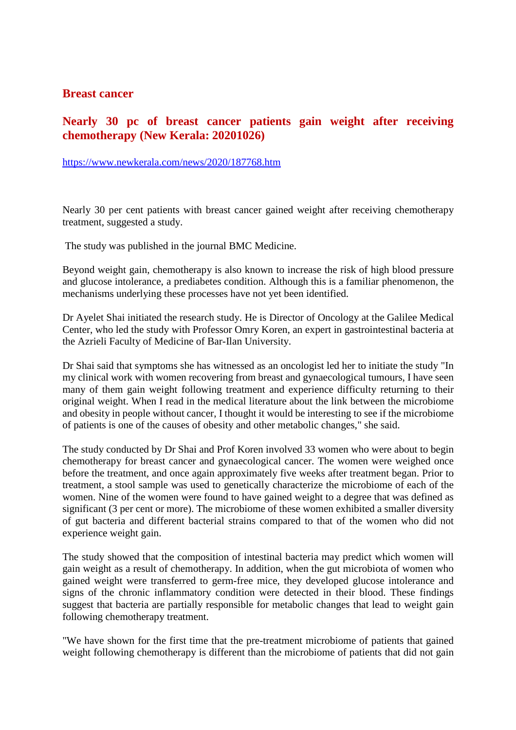#### **Breast cancer**

#### **Nearly 30 pc of breast cancer patients gain weight after receiving chemotherapy (New Kerala: 20201026)**

https://www.newkerala.com/news/2020/187768.htm

Nearly 30 per cent patients with breast cancer gained weight after receiving chemotherapy treatment, suggested a study.

The study was published in the journal BMC Medicine.

Beyond weight gain, chemotherapy is also known to increase the risk of high blood pressure and glucose intolerance, a prediabetes condition. Although this is a familiar phenomenon, the mechanisms underlying these processes have not yet been identified.

Dr Ayelet Shai initiated the research study. He is Director of Oncology at the Galilee Medical Center, who led the study with Professor Omry Koren, an expert in gastrointestinal bacteria at the Azrieli Faculty of Medicine of Bar-Ilan University.

Dr Shai said that symptoms she has witnessed as an oncologist led her to initiate the study "In my clinical work with women recovering from breast and gynaecological tumours, I have seen many of them gain weight following treatment and experience difficulty returning to their original weight. When I read in the medical literature about the link between the microbiome and obesity in people without cancer, I thought it would be interesting to see if the microbiome of patients is one of the causes of obesity and other metabolic changes," she said.

The study conducted by Dr Shai and Prof Koren involved 33 women who were about to begin chemotherapy for breast cancer and gynaecological cancer. The women were weighed once before the treatment, and once again approximately five weeks after treatment began. Prior to treatment, a stool sample was used to genetically characterize the microbiome of each of the women. Nine of the women were found to have gained weight to a degree that was defined as significant (3 per cent or more). The microbiome of these women exhibited a smaller diversity of gut bacteria and different bacterial strains compared to that of the women who did not experience weight gain.

The study showed that the composition of intestinal bacteria may predict which women will gain weight as a result of chemotherapy. In addition, when the gut microbiota of women who gained weight were transferred to germ-free mice, they developed glucose intolerance and signs of the chronic inflammatory condition were detected in their blood. These findings suggest that bacteria are partially responsible for metabolic changes that lead to weight gain following chemotherapy treatment.

"We have shown for the first time that the pre-treatment microbiome of patients that gained weight following chemotherapy is different than the microbiome of patients that did not gain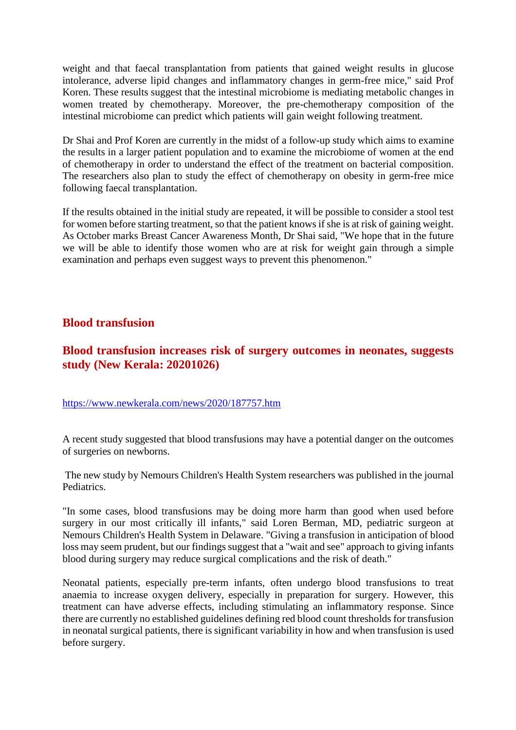weight and that faecal transplantation from patients that gained weight results in glucose intolerance, adverse lipid changes and inflammatory changes in germ-free mice," said Prof Koren. These results suggest that the intestinal microbiome is mediating metabolic changes in women treated by chemotherapy. Moreover, the pre-chemotherapy composition of the intestinal microbiome can predict which patients will gain weight following treatment.

Dr Shai and Prof Koren are currently in the midst of a follow-up study which aims to examine the results in a larger patient population and to examine the microbiome of women at the end of chemotherapy in order to understand the effect of the treatment on bacterial composition. The researchers also plan to study the effect of chemotherapy on obesity in germ-free mice following faecal transplantation.

If the results obtained in the initial study are repeated, it will be possible to consider a stool test for women before starting treatment, so that the patient knows if she is at risk of gaining weight. As October marks Breast Cancer Awareness Month, Dr Shai said, "We hope that in the future we will be able to identify those women who are at risk for weight gain through a simple examination and perhaps even suggest ways to prevent this phenomenon."

#### **Blood transfusion**

#### **Blood transfusion increases risk of surgery outcomes in neonates, suggests study (New Kerala: 20201026)**

#### https://www.newkerala.com/news/2020/187757.htm

A recent study suggested that blood transfusions may have a potential danger on the outcomes of surgeries on newborns.

The new study by Nemours Children's Health System researchers was published in the journal Pediatrics.

"In some cases, blood transfusions may be doing more harm than good when used before surgery in our most critically ill infants," said Loren Berman, MD, pediatric surgeon at Nemours Children's Health System in Delaware. "Giving a transfusion in anticipation of blood loss may seem prudent, but our findings suggest that a "wait and see" approach to giving infants blood during surgery may reduce surgical complications and the risk of death."

Neonatal patients, especially pre-term infants, often undergo blood transfusions to treat anaemia to increase oxygen delivery, especially in preparation for surgery. However, this treatment can have adverse effects, including stimulating an inflammatory response. Since there are currently no established guidelines defining red blood count thresholds for transfusion in neonatal surgical patients, there is significant variability in how and when transfusion is used before surgery.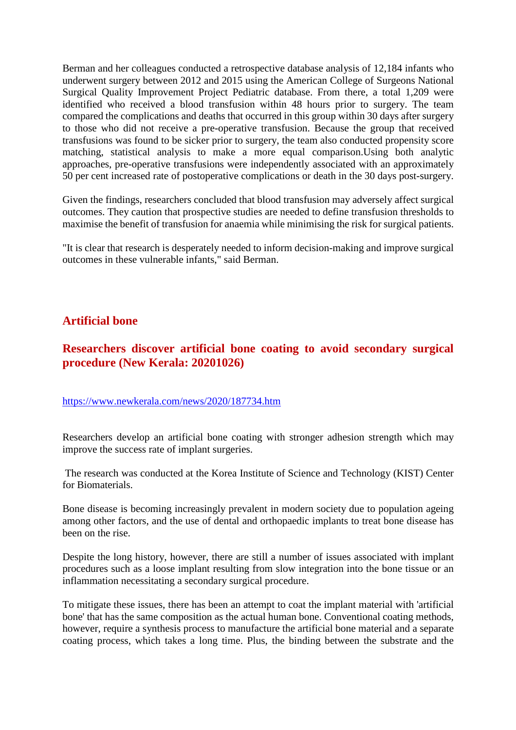Berman and her colleagues conducted a retrospective database analysis of 12,184 infants who underwent surgery between 2012 and 2015 using the American College of Surgeons National Surgical Quality Improvement Project Pediatric database. From there, a total 1,209 were identified who received a blood transfusion within 48 hours prior to surgery. The team compared the complications and deaths that occurred in this group within 30 days after surgery to those who did not receive a pre-operative transfusion. Because the group that received transfusions was found to be sicker prior to surgery, the team also conducted propensity score matching, statistical analysis to make a more equal comparison.Using both analytic approaches, pre-operative transfusions were independently associated with an approximately 50 per cent increased rate of postoperative complications or death in the 30 days post-surgery.

Given the findings, researchers concluded that blood transfusion may adversely affect surgical outcomes. They caution that prospective studies are needed to define transfusion thresholds to maximise the benefit of transfusion for anaemia while minimising the risk for surgical patients.

"It is clear that research is desperately needed to inform decision-making and improve surgical outcomes in these vulnerable infants," said Berman.

#### **Artificial bone**

#### **Researchers discover artificial bone coating to avoid secondary surgical procedure (New Kerala: 20201026)**

#### https://www.newkerala.com/news/2020/187734.htm

Researchers develop an artificial bone coating with stronger adhesion strength which may improve the success rate of implant surgeries.

The research was conducted at the Korea Institute of Science and Technology (KIST) Center for Biomaterials.

Bone disease is becoming increasingly prevalent in modern society due to population ageing among other factors, and the use of dental and orthopaedic implants to treat bone disease has been on the rise.

Despite the long history, however, there are still a number of issues associated with implant procedures such as a loose implant resulting from slow integration into the bone tissue or an inflammation necessitating a secondary surgical procedure.

To mitigate these issues, there has been an attempt to coat the implant material with 'artificial bone' that has the same composition as the actual human bone. Conventional coating methods, however, require a synthesis process to manufacture the artificial bone material and a separate coating process, which takes a long time. Plus, the binding between the substrate and the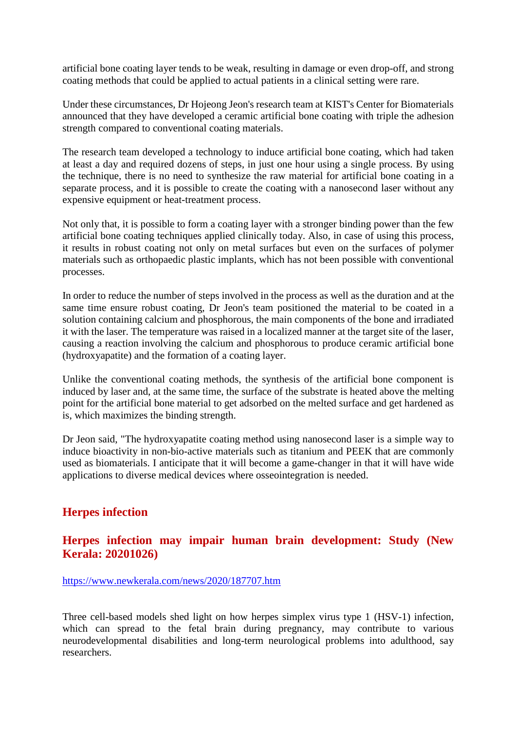artificial bone coating layer tends to be weak, resulting in damage or even drop-off, and strong coating methods that could be applied to actual patients in a clinical setting were rare.

Under these circumstances, Dr Hojeong Jeon's research team at KIST's Center for Biomaterials announced that they have developed a ceramic artificial bone coating with triple the adhesion strength compared to conventional coating materials.

The research team developed a technology to induce artificial bone coating, which had taken at least a day and required dozens of steps, in just one hour using a single process. By using the technique, there is no need to synthesize the raw material for artificial bone coating in a separate process, and it is possible to create the coating with a nanosecond laser without any expensive equipment or heat-treatment process.

Not only that, it is possible to form a coating layer with a stronger binding power than the few artificial bone coating techniques applied clinically today. Also, in case of using this process, it results in robust coating not only on metal surfaces but even on the surfaces of polymer materials such as orthopaedic plastic implants, which has not been possible with conventional processes.

In order to reduce the number of steps involved in the process as well as the duration and at the same time ensure robust coating, Dr Jeon's team positioned the material to be coated in a solution containing calcium and phosphorous, the main components of the bone and irradiated it with the laser. The temperature was raised in a localized manner at the target site of the laser, causing a reaction involving the calcium and phosphorous to produce ceramic artificial bone (hydroxyapatite) and the formation of a coating layer.

Unlike the conventional coating methods, the synthesis of the artificial bone component is induced by laser and, at the same time, the surface of the substrate is heated above the melting point for the artificial bone material to get adsorbed on the melted surface and get hardened as is, which maximizes the binding strength.

Dr Jeon said, "The hydroxyapatite coating method using nanosecond laser is a simple way to induce bioactivity in non-bio-active materials such as titanium and PEEK that are commonly used as biomaterials. I anticipate that it will become a game-changer in that it will have wide applications to diverse medical devices where osseointegration is needed.

#### **Herpes infection**

#### **Herpes infection may impair human brain development: Study (New Kerala: 20201026)**

#### https://www.newkerala.com/news/2020/187707.htm

Three cell-based models shed light on how herpes simplex virus type 1 (HSV-1) infection, which can spread to the fetal brain during pregnancy, may contribute to various neurodevelopmental disabilities and long-term neurological problems into adulthood, say researchers.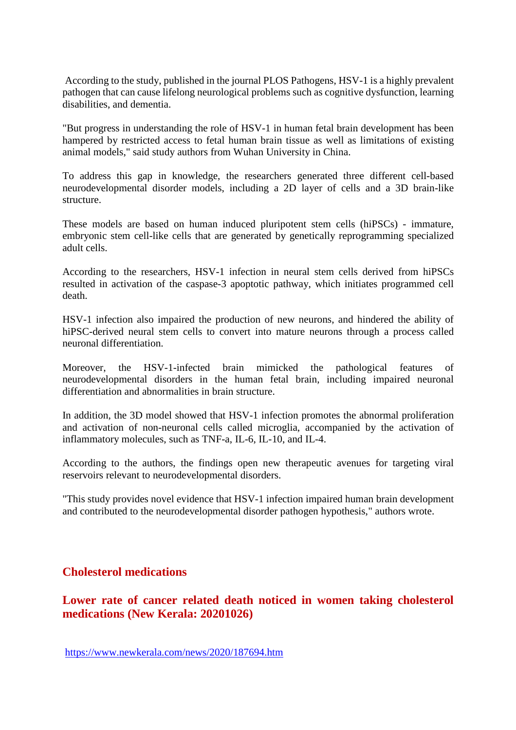According to the study, published in the journal PLOS Pathogens, HSV-1 is a highly prevalent pathogen that can cause lifelong neurological problems such as cognitive dysfunction, learning disabilities, and dementia.

"But progress in understanding the role of HSV-1 in human fetal brain development has been hampered by restricted access to fetal human brain tissue as well as limitations of existing animal models," said study authors from Wuhan University in China.

To address this gap in knowledge, the researchers generated three different cell-based neurodevelopmental disorder models, including a 2D layer of cells and a 3D brain-like structure.

These models are based on human induced pluripotent stem cells (hiPSCs) - immature, embryonic stem cell-like cells that are generated by genetically reprogramming specialized adult cells.

According to the researchers, HSV-1 infection in neural stem cells derived from hiPSCs resulted in activation of the caspase-3 apoptotic pathway, which initiates programmed cell death.

HSV-1 infection also impaired the production of new neurons, and hindered the ability of hiPSC-derived neural stem cells to convert into mature neurons through a process called neuronal differentiation.

Moreover, the HSV-1-infected brain mimicked the pathological features of neurodevelopmental disorders in the human fetal brain, including impaired neuronal differentiation and abnormalities in brain structure.

In addition, the 3D model showed that HSV-1 infection promotes the abnormal proliferation and activation of non-neuronal cells called microglia, accompanied by the activation of inflammatory molecules, such as TNF-a, IL-6, IL-10, and IL-4.

According to the authors, the findings open new therapeutic avenues for targeting viral reservoirs relevant to neurodevelopmental disorders.

"This study provides novel evidence that HSV-1 infection impaired human brain development and contributed to the neurodevelopmental disorder pathogen hypothesis," authors wrote.

#### **Cholesterol medications**

#### **Lower rate of cancer related death noticed in women taking cholesterol medications (New Kerala: 20201026)**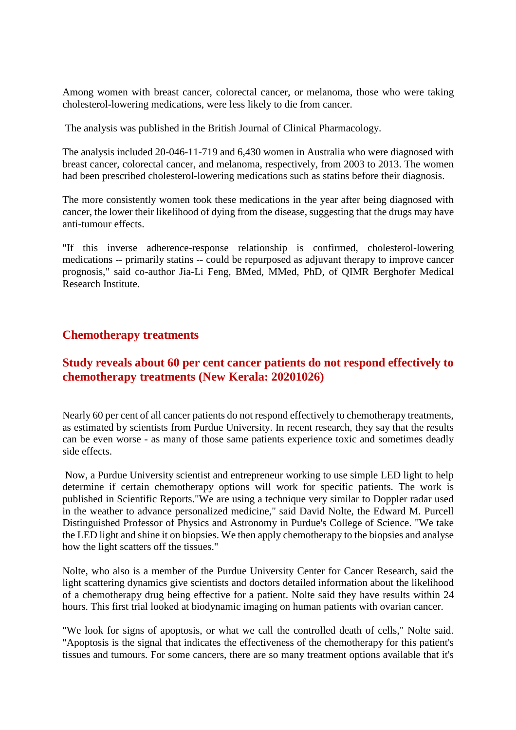Among women with breast cancer, colorectal cancer, or melanoma, those who were taking cholesterol-lowering medications, were less likely to die from cancer.

The analysis was published in the British Journal of Clinical Pharmacology.

The analysis included 20-046-11-719 and 6,430 women in Australia who were diagnosed with breast cancer, colorectal cancer, and melanoma, respectively, from 2003 to 2013. The women had been prescribed cholesterol-lowering medications such as statins before their diagnosis.

The more consistently women took these medications in the year after being diagnosed with cancer, the lower their likelihood of dying from the disease, suggesting that the drugs may have anti-tumour effects.

"If this inverse adherence-response relationship is confirmed, cholesterol-lowering medications -- primarily statins -- could be repurposed as adjuvant therapy to improve cancer prognosis," said co-author Jia-Li Feng, BMed, MMed, PhD, of QIMR Berghofer Medical Research Institute.

#### **Chemotherapy treatments**

#### **Study reveals about 60 per cent cancer patients do not respond effectively to chemotherapy treatments (New Kerala: 20201026)**

Nearly 60 per cent of all cancer patients do not respond effectively to chemotherapy treatments, as estimated by scientists from Purdue University. In recent research, they say that the results can be even worse - as many of those same patients experience toxic and sometimes deadly side effects.

Now, a Purdue University scientist and entrepreneur working to use simple LED light to help determine if certain chemotherapy options will work for specific patients. The work is published in Scientific Reports."We are using a technique very similar to Doppler radar used in the weather to advance personalized medicine," said David Nolte, the Edward M. Purcell Distinguished Professor of Physics and Astronomy in Purdue's College of Science. "We take the LED light and shine it on biopsies. We then apply chemotherapy to the biopsies and analyse how the light scatters off the tissues."

Nolte, who also is a member of the Purdue University Center for Cancer Research, said the light scattering dynamics give scientists and doctors detailed information about the likelihood of a chemotherapy drug being effective for a patient. Nolte said they have results within 24 hours. This first trial looked at biodynamic imaging on human patients with ovarian cancer.

"We look for signs of apoptosis, or what we call the controlled death of cells," Nolte said. "Apoptosis is the signal that indicates the effectiveness of the chemotherapy for this patient's tissues and tumours. For some cancers, there are so many treatment options available that it's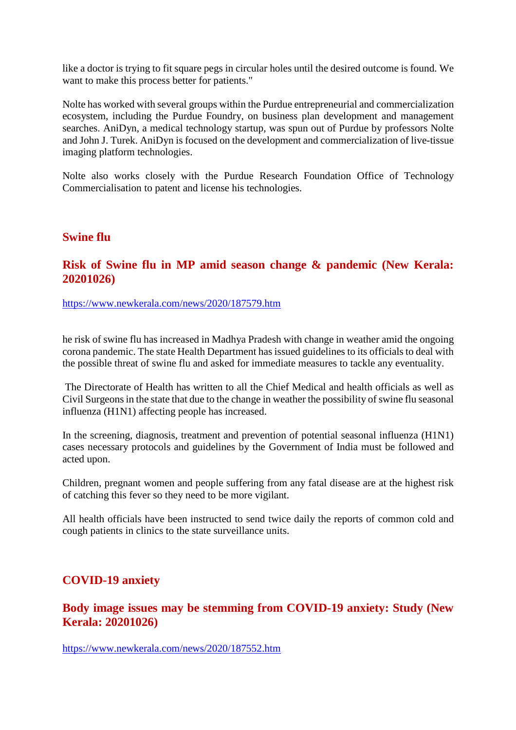like a doctor is trying to fit square pegs in circular holes until the desired outcome is found. We want to make this process better for patients."

Nolte has worked with several groups within the Purdue entrepreneurial and commercialization ecosystem, including the Purdue Foundry, on business plan development and management searches. AniDyn, a medical technology startup, was spun out of Purdue by professors Nolte and John J. Turek. AniDyn is focused on the development and commercialization of live-tissue imaging platform technologies.

Nolte also works closely with the Purdue Research Foundation Office of Technology Commercialisation to patent and license his technologies.

#### **Swine flu**

#### **Risk of Swine flu in MP amid season change & pandemic (New Kerala: 20201026)**

https://www.newkerala.com/news/2020/187579.htm

he risk of swine flu has increased in Madhya Pradesh with change in weather amid the ongoing corona pandemic. The state Health Department has issued guidelines to its officials to deal with the possible threat of swine flu and asked for immediate measures to tackle any eventuality.

The Directorate of Health has written to all the Chief Medical and health officials as well as Civil Surgeons in the state that due to the change in weather the possibility of swine flu seasonal influenza (H1N1) affecting people has increased.

In the screening, diagnosis, treatment and prevention of potential seasonal influenza (H1N1) cases necessary protocols and guidelines by the Government of India must be followed and acted upon.

Children, pregnant women and people suffering from any fatal disease are at the highest risk of catching this fever so they need to be more vigilant.

All health officials have been instructed to send twice daily the reports of common cold and cough patients in clinics to the state surveillance units.

#### **COVID-19 anxiety**

**Body image issues may be stemming from COVID-19 anxiety: Study (New Kerala: 20201026)**

https://www.newkerala.com/news/2020/187552.htm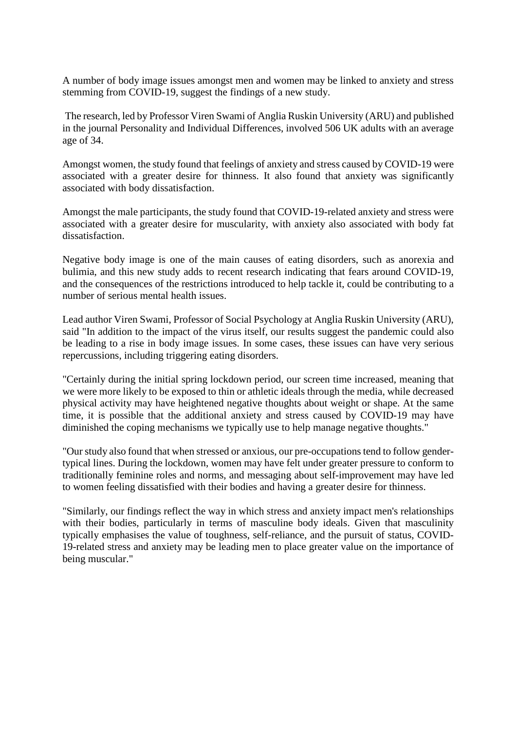A number of body image issues amongst men and women may be linked to anxiety and stress stemming from COVID-19, suggest the findings of a new study.

The research, led by Professor Viren Swami of Anglia Ruskin University (ARU) and published in the journal Personality and Individual Differences, involved 506 UK adults with an average age of 34.

Amongst women, the study found that feelings of anxiety and stress caused by COVID-19 were associated with a greater desire for thinness. It also found that anxiety was significantly associated with body dissatisfaction.

Amongst the male participants, the study found that COVID-19-related anxiety and stress were associated with a greater desire for muscularity, with anxiety also associated with body fat dissatisfaction.

Negative body image is one of the main causes of eating disorders, such as anorexia and bulimia, and this new study adds to recent research indicating that fears around COVID-19, and the consequences of the restrictions introduced to help tackle it, could be contributing to a number of serious mental health issues.

Lead author Viren Swami, Professor of Social Psychology at Anglia Ruskin University (ARU), said "In addition to the impact of the virus itself, our results suggest the pandemic could also be leading to a rise in body image issues. In some cases, these issues can have very serious repercussions, including triggering eating disorders.

"Certainly during the initial spring lockdown period, our screen time increased, meaning that we were more likely to be exposed to thin or athletic ideals through the media, while decreased physical activity may have heightened negative thoughts about weight or shape. At the same time, it is possible that the additional anxiety and stress caused by COVID-19 may have diminished the coping mechanisms we typically use to help manage negative thoughts."

"Our study also found that when stressed or anxious, our pre-occupations tend to follow gendertypical lines. During the lockdown, women may have felt under greater pressure to conform to traditionally feminine roles and norms, and messaging about self-improvement may have led to women feeling dissatisfied with their bodies and having a greater desire for thinness.

"Similarly, our findings reflect the way in which stress and anxiety impact men's relationships with their bodies, particularly in terms of masculine body ideals. Given that masculinity typically emphasises the value of toughness, self-reliance, and the pursuit of status, COVID-19-related stress and anxiety may be leading men to place greater value on the importance of being muscular."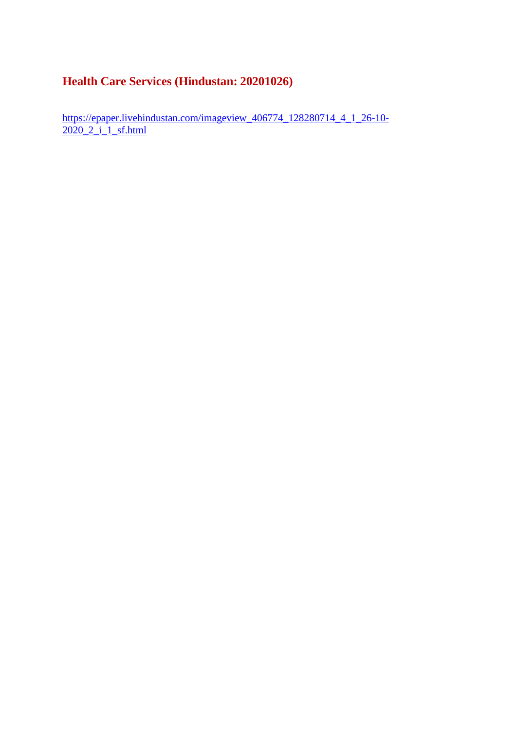#### **Health Care Services (Hindustan: 20201026)**

https://epaper.livehindustan.com/imageview\_406774\_128280714\_4\_1\_26-10-2020\_2\_i\_1\_sf.html